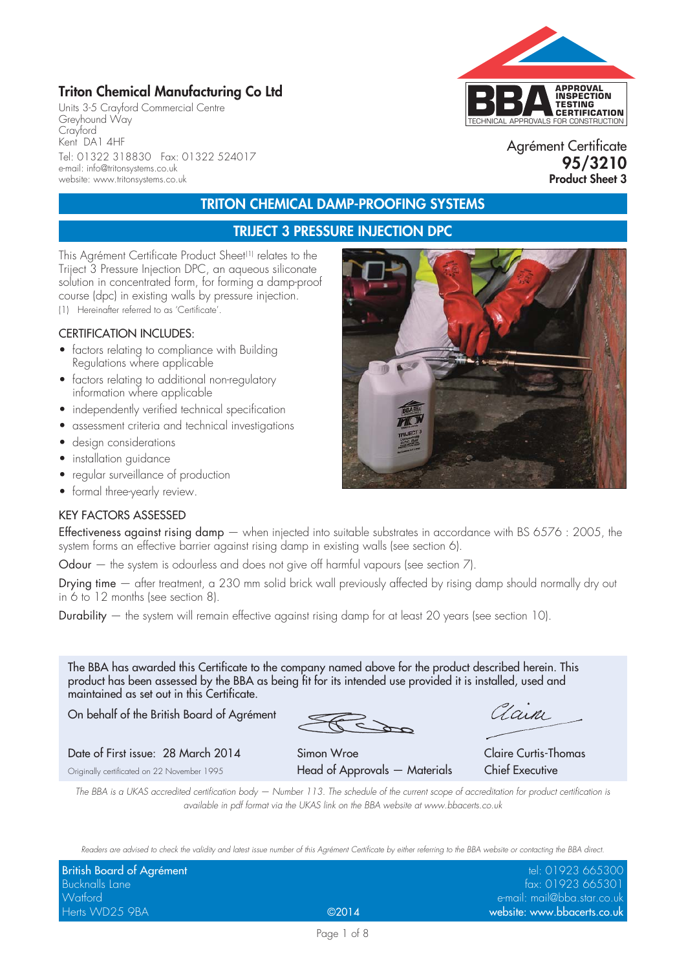## **Triton Chemical Manufacturing Co Ltd**

Units 3-5 Crayford Commercial Centre Greyhound Way Crayford Kent DA1 4HF Tel: 01322 318830 Fax: 01322 524017 e-mail: info@tritonsystems.co.uk website: www.tritonsystems.co.uk



Agrément Certificate **95/3210 Product Sheet 3**

# **TRITON CHEMICAL DAMP-PROOFING SYSTEMS**

### **TRIJECT 3 PRESSURE INJECTION DPC**

This Agrément Certificate Product Sheet<sup>(1)</sup> relates to the Triject 3 Pressure Injection DPC, an aqueous siliconate solution in concentrated form, for forming a damp-proof course (dpc) in existing walls by pressure injection. (1) Hereinafter referred to as 'Certificate'.

#### CERTIFICATION INCLUDES:

- factors relating to compliance with Building Regulations where applicable
- factors relating to additional non-regulatory information where applicable
- independently verified technical specification
- assessment criteria and technical investigations
- design considerations
- installation guidance
- regular surveillance of production
- formal three-yearly review.

#### KEY FACTORS ASSESSED

Effectiveness against rising damp  $-$  when injected into suitable substrates in accordance with BS 6576 : 2005, the system forms an effective barrier against rising damp in existing walls (see section 6).

Odour – the system is odourless and does not give off harmful vapours (see section 7).

Drying time — after treatment, a 230 mm solid brick wall previously affected by rising damp should normally dry out in 6 to 12 months (see section 8).

Durability — the system will remain effective against rising damp for at least 20 years (see section 10).

The BBA has awarded this Certificate to the company named above for the product described herein. This product has been assessed by the BBA as being fit for its intended use provided it is installed, used and maintained as set out in this Certificate.

On behalf of the British Board of Agrément

Clain

Date of First issue: 28 March 2014 Simon Wroe Claire Curtis-Thomas

Originally certificated on 22 November 1995 **Head of Approvals — Materials Chief Executive** 

*The BBA is a UKAS accredited certification body — Number 113. The schedule of the current scope of accreditation for product certification is available in pdf format via the UKAS link on the BBA website at www.bbacerts.co.uk*

*Readers are advised to check the validity and latest issue number of this Agrément Certificate by either referring to the BBA website or contacting the BBA direct.*

| British Board of Agrément |       | tel: 01923 665300               |
|---------------------------|-------|---------------------------------|
| <b>Bucknalls Lane</b>     |       | $\frac{1}{2}$ fax: 01923 665301 |
| Watford                   |       | e-mail: mail@bba.star.co.uk     |
| Herts WD25 9BA            | @2014 | website: www.bbacerts.co.uk     |

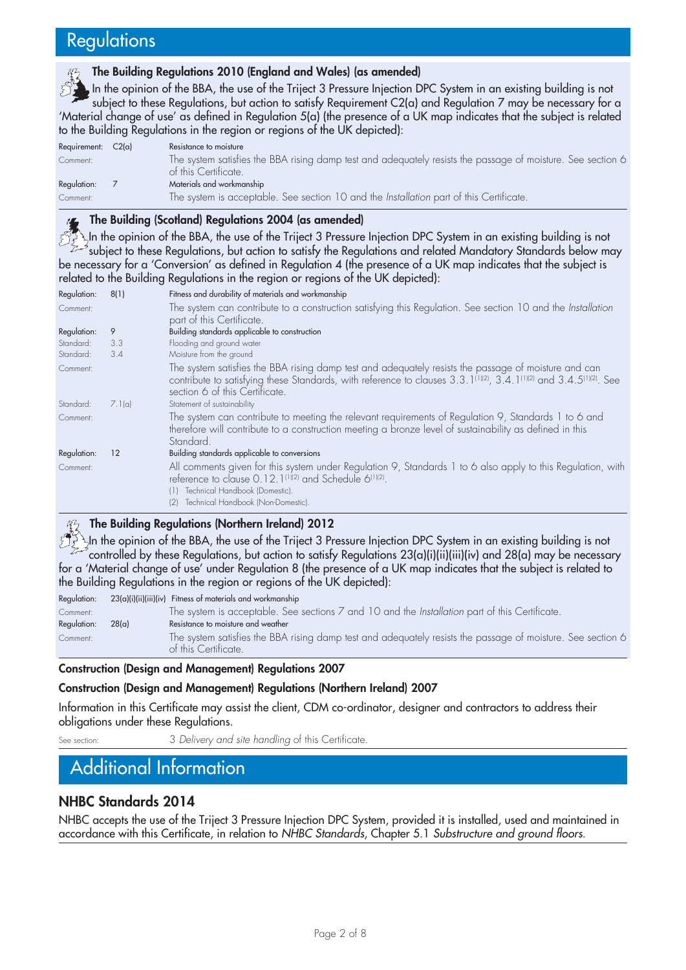# **Regulations**

#### **The Building Regulations 2010 (England and Wales) (as amended)**

In the opinion of the BBA, the use of the Triject 3 Pressure Injection DPC System in an existing building is not subject to these Regulations, but action to satisfy Requirement C2(a) and Regulation 7 may be necessary for a 'Material change of use' as defined in Regulation 5(a) (the presence of a UK map indicates that the subject is related to the Building Regulations in the region or regions of the UK depicted):

| Requirement: | $C2(\alpha)$ | Resistance to moisture                                                                                                              |
|--------------|--------------|-------------------------------------------------------------------------------------------------------------------------------------|
| Comment:     |              | The system satisfies the BBA rising damp test and adequately resists the passage of moisture. See section 6<br>of this Certificate. |
| Regulation:  |              | Materials and workmanship                                                                                                           |
| Comment:     |              | The system is acceptable. See section 10 and the <i>Installation</i> part of this Certificate.                                      |

### **The Building (Scotland) Regulations 2004 (as amended)**

In the opinion of the BBA, the use of the Triject 3 Pressure Injection DPC System in an existing building is not  $\rightarrow$ subject to these Regulations, but action to satisfy the Regulations and related Mandatory Standards below may be necessary for a 'Conversion' as defined in Regulation 4 (the presence of a UK map indicates that the subject is related to the Building Regulations in the region or regions of the UK depicted):

| Regulation:<br>Comment:               | 8(1)            | Fitness and durability of materials and workmanship<br>The system can contribute to a construction satisfying this Regulation. See section 10 and the Installation<br>part of this Certificate.                                                                                                                                  |
|---------------------------------------|-----------------|----------------------------------------------------------------------------------------------------------------------------------------------------------------------------------------------------------------------------------------------------------------------------------------------------------------------------------|
| Regulation:<br>Standard:<br>Standard: | 9<br>3.3<br>3.4 | Building standards applicable to construction<br>Flooding and ground water<br>Moisture from the ground                                                                                                                                                                                                                           |
| Comment:<br>Standard:                 | 7.1(a)          | The system satisfies the BBA rising damp test and adequately resists the passage of moisture and can<br>contribute to satisfying these Standards, with reference to clauses 3.3.1 <sup>(1)(2)</sup> , 3.4.1 <sup>(1)(2)</sup> and 3.4.5 <sup>(1)(2)</sup> . See<br>section 6 of this Certificate.<br>Statement of sustainability |
| Comment:                              |                 | The system can contribute to meeting the relevant requirements of Regulation 9, Standards 1 to 6 and<br>therefore will contribute to a construction meeting a bronze level of sustainability as defined in this<br>Standard.                                                                                                     |
| Regulation:<br>Comment:               | 12              | Building standards applicable to conversions<br>All comments given for this system under Regulation 9, Standards 1 to 6 also apply to this Regulation, with<br>reference to clause 0.12.1 <sup>(1)(2)</sup> and Schedule 6 <sup>(1)(2)</sup> .<br>Technical Handbook (Domestic).<br>(1)<br>Technical Handbook (Non-Domestic).    |

### **The Building Regulations (Northern Ireland) 2012**

In the opinion of the BBA, the use of the Triject 3 Pressure Injection DPC System in an existing building is not controlled by these Regulations, but action to satisfy Regulations 23(a)(i)(ii)(iii)(iv) and 28(a) may be necessary for a 'Material change of use' under Regulation 8 (the presence of a UK map indicates that the subject is related to the Building Regulations in the region or regions of the UK depicted):

Regulation: 23(a)(i)(ii)(iii)(iv) Fitness of materials and workmanship

|                   | , ,,,,,,,,,,, |                                                                                                                                     |
|-------------------|---------------|-------------------------------------------------------------------------------------------------------------------------------------|
| Comment:          |               | The system is acceptable. See sections $7$ and $10$ and the <i>Installation</i> part of this Certificate.                           |
| Regulation: 28(a) |               | Resistance to moisture and weather                                                                                                  |
| Comment:          |               | The system satisfies the BBA rising damp test and adequately resists the passage of moisture. See section 6<br>of this Certificate. |
|                   |               |                                                                                                                                     |

#### **Construction (Design and Management) Regulations 2007**

#### **Construction (Design and Management) Regulations (Northern Ireland) 2007**

Information in this Certificate may assist the client, CDM co-ordinator, designer and contractors to address their obligations under these Regulations.

See section: 3 *Delivery and site handling* of this Certificate.

# Additional Information

## **NHBC Standards 2014**

NHBC accepts the use of the Triject 3 Pressure Injection DPC System, provided it is installed, used and maintained in accordance with this Certificate, in relation to *NHBC Standards*, Chapter 5.1 *Substructure and ground floors*.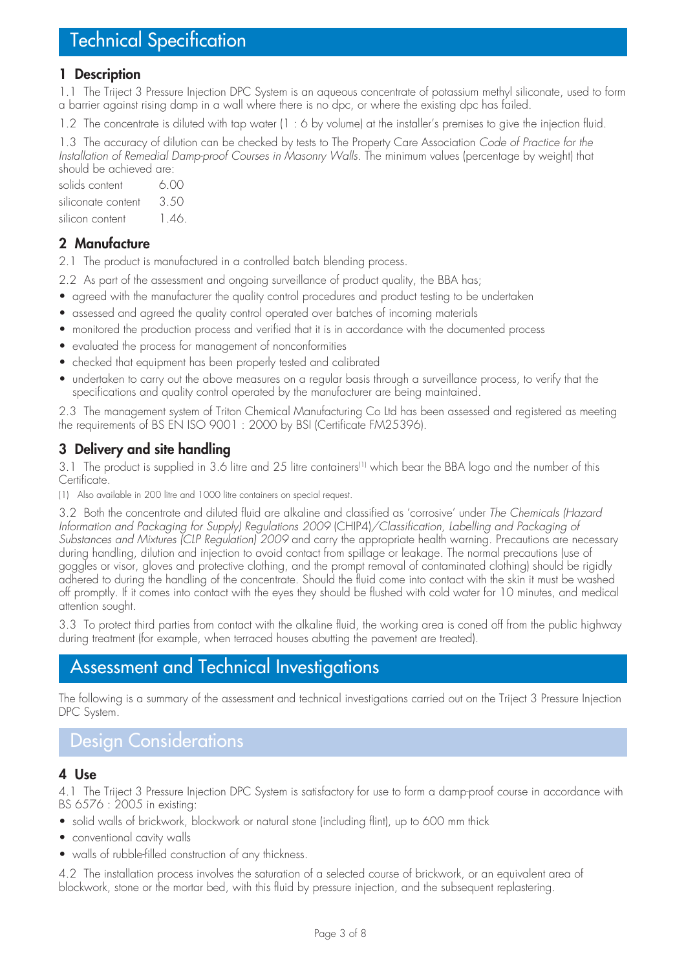# Technical Specification

### **1 Description**

1.1 The Triject 3 Pressure Injection DPC System is an aqueous concentrate of potassium methyl siliconate, used to form a barrier against rising damp in a wall where there is no dpc, or where the existing dpc has failed.

1.2 The concentrate is diluted with tap water (1 : 6 by volume) at the installer's premises to give the injection fluid.

1.3 The accuracy of dilution can be checked by tests to The Property Care Association *Code of Practice for the Installation of Remedial Damp-proof Courses in Masonry Walls*. The minimum values (percentage by weight) that should be achieved are:

| solids content     | 6.00 |
|--------------------|------|
| siliconate content | 3.50 |
| silicon content    | 146  |

## **2 Manufacture**

2.1 The product is manufactured in a controlled batch blending process.

2.2 As part of the assessment and ongoing surveillance of product quality, the BBA has;

- agreed with the manufacturer the quality control procedures and product testing to be undertaken
- assessed and agreed the quality control operated over batches of incoming materials
- monitored the production process and verified that it is in accordance with the documented process
- evaluated the process for management of nonconformities
- checked that equipment has been properly tested and calibrated
- undertaken to carry out the above measures on a regular basis through a surveillance process, to verify that the specifications and quality control operated by the manufacturer are being maintained.

2.3 The management system of Triton Chemical Manufacturing Co Ltd has been assessed and registered as meeting the requirements of BS EN ISO 9001 : 2000 by BSI (Certificate FM25396).

## **3 Delivery and site handling**

3.1 The product is supplied in 3.6 litre and 25 litre containers<sup>(1)</sup> which bear the BBA logo and the number of this Certificate.

(1) Also available in 200 litre and 1000 litre containers on special request.

3.2 Both the concentrate and diluted fluid are alkaline and classified as 'corrosive' under *The Chemicals (Hazard Information and Packaging for Supply) Regulations 2009* (CHIP4)*/Classification, Labelling and Packaging of Substances and Mixtures (CLP Regulation) 2009* and carry the appropriate health warning. Precautions are necessary during handling, dilution and injection to avoid contact from spillage or leakage. The normal precautions (use of goggles or visor, gloves and protective clothing, and the prompt removal of contaminated clothing) should be rigidly adhered to during the handling of the concentrate. Should the fluid come into contact with the skin it must be washed off promptly. If it comes into contact with the eyes they should be flushed with cold water for 10 minutes, and medical attention sought.

3.3 To protect third parties from contact with the alkaline fluid, the working area is coned off from the public highway during treatment (for example, when terraced houses abutting the pavement are treated).

# Assessment and Technical Investigations

The following is a summary of the assessment and technical investigations carried out on the Triject 3 Pressure Injection DPC System.

# Design Considerations

### **4 Use**

4.1 The Triject 3 Pressure Injection DPC System is satisfactory for use to form a damp-proof course in accordance with BS 6576 : 2005 in existing:

- solid walls of brickwork, blockwork or natural stone (including flint), up to 600 mm thick
- conventional cavity walls
- walls of rubble-filled construction of any thickness.

4.2 The installation process involves the saturation of a selected course of brickwork, or an equivalent area of blockwork, stone or the mortar bed, with this fluid by pressure injection, and the subsequent replastering.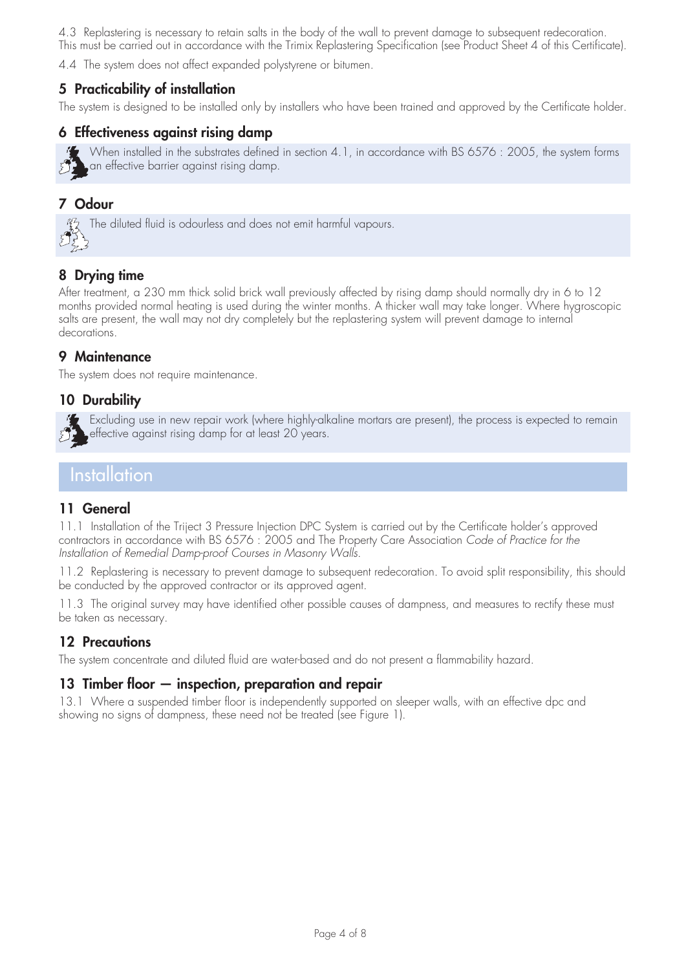4.3 Replastering is necessary to retain salts in the body of the wall to prevent damage to subsequent redecoration. This must be carried out in accordance with the Trimix Replastering Specification (see Product Sheet 4 of this Certificate).

4.4 The system does not affect expanded polystyrene or bitumen.

# **5 Practicability of installation**

The system is designed to be installed only by installers who have been trained and approved by the Certificate holder.

## **6 Effectiveness against rising damp**



When installed in the substrates defined in section 4.1, in accordance with BS 6576 : 2005, the system forms an effective barrier against rising damp.

# **7 Odour**

 $\frac{17}{2}$  The diluted fluid is odourless and does not emit harmful vapours.

## **8 Drying time**

After treatment, a 230 mm thick solid brick wall previously affected by rising damp should normally dry in 6 to 12 months provided normal heating is used during the winter months. A thicker wall may take longer. Where hygroscopic salts are present, the wall may not dry completely but the replastering system will prevent damage to internal decorations.

## **9 Maintenance**

The system does not require maintenance.

## **10 Durability**

Excluding use in new repair work (where highly-alkaline mortars are present), the process is expected to remain effective against rising damp for at least 20 years.

# **Installation**

### **11 General**

11.1 Installation of the Triject 3 Pressure Injection DPC System is carried out by the Certificate holder's approved contractors in accordance with BS 6576 : 2005 and The Property Care Association *Code of Practice for the Installation of Remedial Damp-proof Courses in Masonry Walls*.

11.2 Replastering is necessary to prevent damage to subsequent redecoration. To avoid split responsibility, this should be conducted by the approved contractor or its approved agent.

11.3 The original survey may have identified other possible causes of dampness, and measures to rectify these must be taken as necessary.

## **12 Precautions**

The system concentrate and diluted fluid are water-based and do not present a flammability hazard.

### **13 Timber floor — inspection, preparation and repair**

13.1 Where a suspended timber floor is independently supported on sleeper walls, with an effective dpc and showing no signs of dampness, these need not be treated (see Figure 1).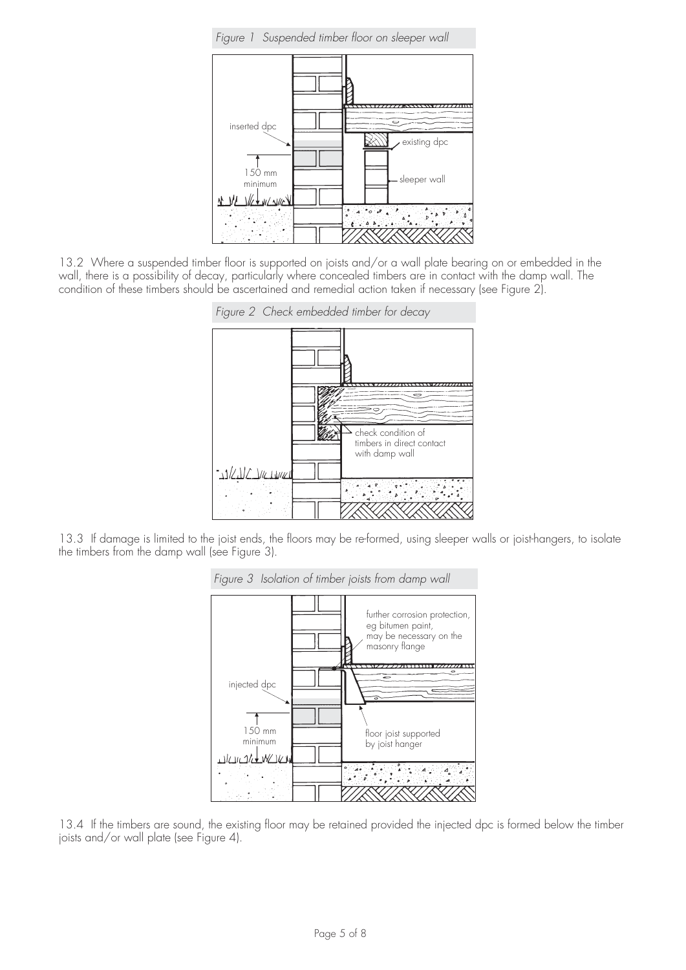

13.2 Where a suspended timber floor is supported on joists and/or a wall plate bearing on or embedded in the wall, there is a possibility of decay, particularly where concealed timbers are in contact with the damp wall. The condition of these timbers should be ascertained and remedial action taken if necessary (see Figure 2).



13.3 If damage is limited to the joist ends, the floors may be re-formed, using sleeper walls or joist-hangers, to isolate the timbers from the damp wall (see Figure 3).



13.4 If the timbers are sound, the existing floor may be retained provided the injected dpc is formed below the timber joists and/or wall plate (see Figure 4).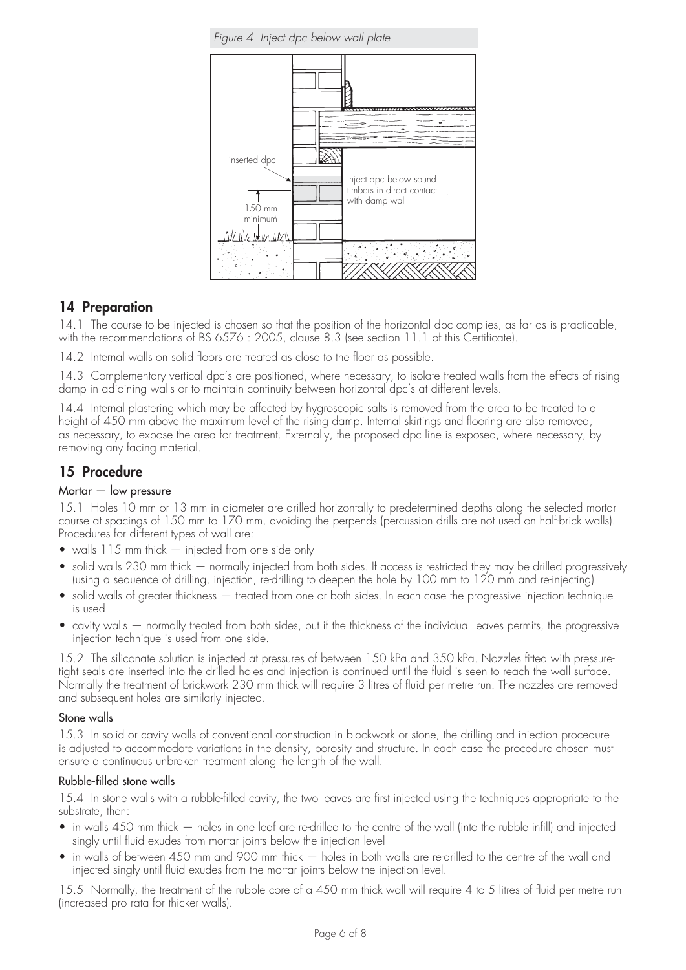

### **14 Preparation**

14.1 The course to be injected is chosen so that the position of the horizontal dpc complies, as far as is practicable, with the recommendations of BS 6576 : 2005, clause 8.3 (see section 11.1 of this Certificate).

14.2 Internal walls on solid floors are treated as close to the floor as possible.

14.3 Complementary vertical dpc's are positioned, where necessary, to isolate treated walls from the effects of rising damp in adjoining walls or to maintain continuity between horizontal dpc's at different levels.

14.4 Internal plastering which may be affected by hygroscopic salts is removed from the area to be treated to a height of 450 mm above the maximum level of the rising damp. Internal skirtings and flooring are also removed, as necessary, to expose the area for treatment. Externally, the proposed dpc line is exposed, where necessary, by removing any facing material.

## **15 Procedure**

#### Mortar — low pressure

15.1 Holes 10 mm or 13 mm in diameter are drilled horizontally to predetermined depths along the selected mortar course at spacings of 150 mm to 170 mm, avoiding the perpends (percussion drills are not used on half-brick walls). Procedures for different types of wall are:

- walls 115 mm thick injected from one side only
- solid walls 230 mm thick normally injected from both sides. If access is restricted they may be drilled progressively (using a sequence of drilling, injection, re-drilling to deepen the hole by 100 mm to 120 mm and re-injecting)
- solid walls of greater thickness treated from one or both sides. In each case the progressive injection technique is used
- cavity walls normally treated from both sides, but if the thickness of the individual leaves permits, the progressive injection technique is used from one side.

15.2 The siliconate solution is injected at pressures of between 150 kPa and 350 kPa. Nozzles fitted with pressuretight seals are inserted into the drilled holes and injection is continued until the fluid is seen to reach the wall surface. Normally the treatment of brickwork 230 mm thick will require 3 litres of fluid per metre run. The nozzles are removed and subsequent holes are similarly injected.

#### Stone walls

15.3 In solid or cavity walls of conventional construction in blockwork or stone, the drilling and injection procedure is adjusted to accommodate variations in the density, porosity and structure. In each case the procedure chosen must ensure a continuous unbroken treatment along the length of the wall.

### Rubble-filled stone walls

15.4 In stone walls with a rubble-filled cavity, the two leaves are first injected using the techniques appropriate to the substrate, then:

- in walls 450 mm thick holes in one leaf are re-drilled to the centre of the wall (into the rubble infill) and injected singly until fluid exudes from mortar joints below the injection level
- in walls of between 450 mm and 900 mm thick holes in both walls are re-drilled to the centre of the wall and injected singly until fluid exudes from the mortar joints below the injection level.

15.5 Normally, the treatment of the rubble core of a 450 mm thick wall will require 4 to 5 litres of fluid per metre run (increased pro rata for thicker walls).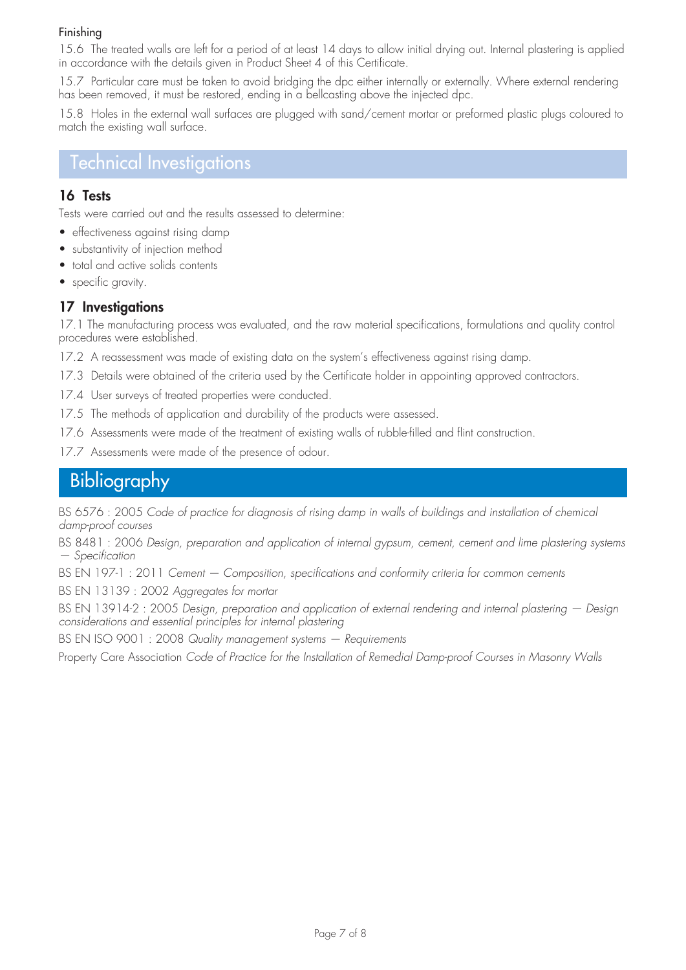### Finishing

15.6 The treated walls are left for a period of at least 14 days to allow initial drying out. Internal plastering is applied in accordance with the details given in Product Sheet 4 of this Certificate.

15.7 Particular care must be taken to avoid bridging the dpc either internally or externally. Where external rendering has been removed, it must be restored, ending in a bellcasting above the injected dpc.

15.8 Holes in the external wall surfaces are plugged with sand/cement mortar or preformed plastic plugs coloured to match the existing wall surface.

# Technical Investigations

### **16 Tests**

Tests were carried out and the results assessed to determine:

- effectiveness against rising damp
- substantivity of injection method
- total and active solids contents
- specific gravity.

### **17 Investigations**

17.1 The manufacturing process was evaluated, and the raw material specifications, formulations and quality control procedures were established.

- 17.2 A reassessment was made of existing data on the system's effectiveness against rising damp.
- 17.3 Details were obtained of the criteria used by the Certificate holder in appointing approved contractors.
- 17.4 User surveys of treated properties were conducted.
- 17.5 The methods of application and durability of the products were assessed.
- 17.6 Assessments were made of the treatment of existing walls of rubble-filled and flint construction.
- 17.7 Assessments were made of the presence of odour.

# Bibliography

BS 6576 : 2005 *Code of practice for diagnosis of rising damp in walls of buildings and installation of chemical damp-proof courses*

BS 8481 : 2006 *Design, preparation and application of internal gypsum, cement, cement and lime plastering systems — Specification*

BS EN 197-1 : 2011 *Cement — Composition, specifications and conformity criteria for common cements*

BS EN 13139 : 2002 *Aggregates for mortar*

BS EN 13914-2 : 2005 *Design, preparation and application of external rendering and internal plastering — Design considerations and essential principles for internal plastering*

BS EN ISO 9001 : 2008 *Quality management systems — Requirements*

Property Care Association *Code of Practice for the Installation of Remedial Damp-proof Courses in Masonry Walls*